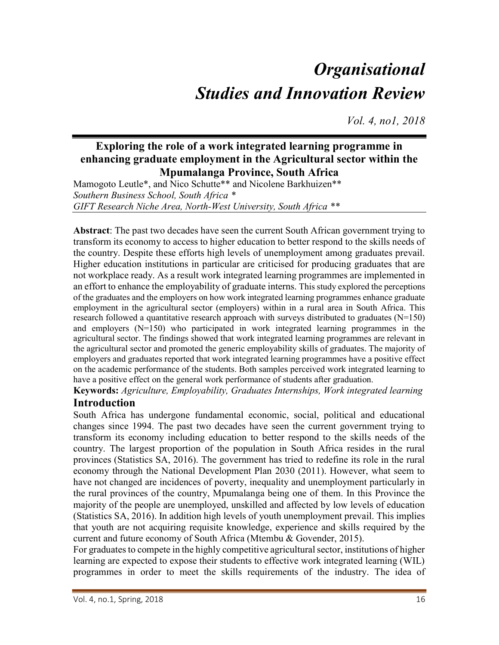# **Organisational** Studies and Innovation Review

Vol. 4, no1, 2018

# Exploring the role of a work integrated learning programme in enhancing graduate employment in the Agricultural sector within the Mpumalanga Province, South Africa

Mamogoto Leutle\*, and Nico Schutte\*\* and Nicolene Barkhuizen\*\* Southern Business School, South Africa \* GIFT Research Niche Area, North-West University, South Africa \*\*

Abstract: The past two decades have seen the current South African government trying to transform its economy to access to higher education to better respond to the skills needs of the country. Despite these efforts high levels of unemployment among graduates prevail. Higher education institutions in particular are criticised for producing graduates that are not workplace ready. As a result work integrated learning programmes are implemented in an effort to enhance the employability of graduate interns. This study explored the perceptions of the graduates and the employers on how work integrated learning programmes enhance graduate employment in the agricultural sector (employers) within in a rural area in South Africa. This research followed a quantitative research approach with surveys distributed to graduates  $(N=150)$ and employers  $(N=150)$  who participated in work integrated learning programmes in the agricultural sector. The findings showed that work integrated learning programmes are relevant in the agricultural sector and promoted the generic employability skills of graduates. The majority of employers and graduates reported that work integrated learning programmes have a positive effect on the academic performance of the students. Both samples perceived work integrated learning to have a positive effect on the general work performance of students after graduation.

Keywords: Agriculture, Employability, Graduates Internships, Work integrated learning

# Introduction

South Africa has undergone fundamental economic, social, political and educational changes since 1994. The past two decades have seen the current government trying to transform its economy including education to better respond to the skills needs of the country. The largest proportion of the population in South Africa resides in the rural provinces (Statistics SA, 2016). The government has tried to redefine its role in the rural economy through the National Development Plan 2030 (2011). However, what seem to have not changed are incidences of poverty, inequality and unemployment particularly in the rural provinces of the country, Mpumalanga being one of them. In this Province the majority of the people are unemployed, unskilled and affected by low levels of education (Statistics SA, 2016). In addition high levels of youth unemployment prevail. This implies that youth are not acquiring requisite knowledge, experience and skills required by the current and future economy of South Africa (Mtembu & Govender, 2015).

For graduates to compete in the highly competitive agricultural sector, institutions of higher learning are expected to expose their students to effective work integrated learning (WIL) programmes in order to meet the skills requirements of the industry. The idea of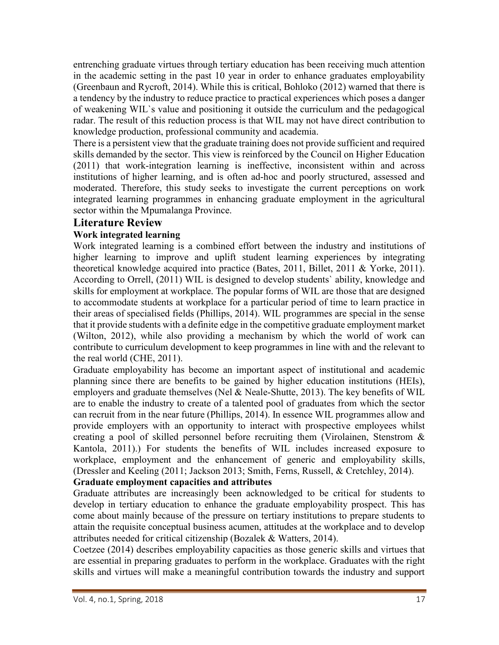entrenching graduate virtues through tertiary education has been receiving much attention in the academic setting in the past 10 year in order to enhance graduates employability (Greenbaun and Rycroft, 2014). While this is critical, Bohloko (2012) warned that there is a tendency by the industry to reduce practice to practical experiences which poses a danger of weakening WIL`s value and positioning it outside the curriculum and the pedagogical radar. The result of this reduction process is that WIL may not have direct contribution to knowledge production, professional community and academia.

There is a persistent view that the graduate training does not provide sufficient and required skills demanded by the sector. This view is reinforced by the Council on Higher Education (2011) that work-integration learning is ineffective, inconsistent within and across institutions of higher learning, and is often ad-hoc and poorly structured, assessed and moderated. Therefore, this study seeks to investigate the current perceptions on work integrated learning programmes in enhancing graduate employment in the agricultural sector within the Mpumalanga Province.

## Literature Review

#### Work integrated learning

Work integrated learning is a combined effort between the industry and institutions of higher learning to improve and uplift student learning experiences by integrating theoretical knowledge acquired into practice (Bates, 2011, Billet, 2011 & Yorke, 2011). According to Orrell, (2011) WIL is designed to develop students` ability, knowledge and skills for employment at workplace. The popular forms of WIL are those that are designed to accommodate students at workplace for a particular period of time to learn practice in their areas of specialised fields (Phillips, 2014). WIL programmes are special in the sense that it provide students with a definite edge in the competitive graduate employment market (Wilton, 2012), while also providing a mechanism by which the world of work can contribute to curriculum development to keep programmes in line with and the relevant to the real world (CHE, 2011).

Graduate employability has become an important aspect of institutional and academic planning since there are benefits to be gained by higher education institutions (HEIs), employers and graduate themselves (Nel & Neale-Shutte, 2013). The key benefits of WIL are to enable the industry to create of a talented pool of graduates from which the sector can recruit from in the near future (Phillips, 2014). In essence WIL programmes allow and provide employers with an opportunity to interact with prospective employees whilst creating a pool of skilled personnel before recruiting them (Virolainen, Stenstrom & Kantola, 2011).) For students the benefits of WIL includes increased exposure to workplace, employment and the enhancement of generic and employability skills, (Dressler and Keeling (2011; Jackson 2013; Smith, Ferns, Russell, & Cretchley, 2014).

#### Graduate employment capacities and attributes

Graduate attributes are increasingly been acknowledged to be critical for students to develop in tertiary education to enhance the graduate employability prospect. This has come about mainly because of the pressure on tertiary institutions to prepare students to attain the requisite conceptual business acumen, attitudes at the workplace and to develop attributes needed for critical citizenship (Bozalek & Watters, 2014).

Coetzee (2014) describes employability capacities as those generic skills and virtues that are essential in preparing graduates to perform in the workplace. Graduates with the right skills and virtues will make a meaningful contribution towards the industry and support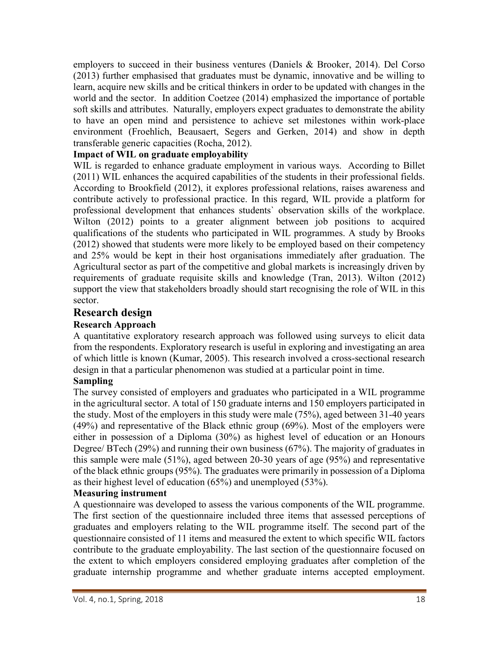employers to succeed in their business ventures (Daniels & Brooker, 2014). Del Corso (2013) further emphasised that graduates must be dynamic, innovative and be willing to learn, acquire new skills and be critical thinkers in order to be updated with changes in the world and the sector. In addition Coetzee (2014) emphasized the importance of portable soft skills and attributes. Naturally, employers expect graduates to demonstrate the ability to have an open mind and persistence to achieve set milestones within work-place environment (Froehlich, Beausaert, Segers and Gerken, 2014) and show in depth transferable generic capacities (Rocha, 2012).

#### Impact of WIL on graduate employability

WIL is regarded to enhance graduate employment in various ways. According to Billet (2011) WIL enhances the acquired capabilities of the students in their professional fields. According to Brookfield (2012), it explores professional relations, raises awareness and contribute actively to professional practice. In this regard, WIL provide a platform for professional development that enhances students` observation skills of the workplace. Wilton (2012) points to a greater alignment between job positions to acquired qualifications of the students who participated in WIL programmes. A study by Brooks (2012) showed that students were more likely to be employed based on their competency and 25% would be kept in their host organisations immediately after graduation. The Agricultural sector as part of the competitive and global markets is increasingly driven by requirements of graduate requisite skills and knowledge (Tran, 2013). Wilton (2012) support the view that stakeholders broadly should start recognising the role of WIL in this sector.

## Research design

#### Research Approach

A quantitative exploratory research approach was followed using surveys to elicit data from the respondents. Exploratory research is useful in exploring and investigating an area of which little is known (Kumar, 2005). This research involved a cross-sectional research design in that a particular phenomenon was studied at a particular point in time.

#### Sampling

The survey consisted of employers and graduates who participated in a WIL programme in the agricultural sector. A total of 150 graduate interns and 150 employers participated in the study. Most of the employers in this study were male (75%), aged between 31-40 years (49%) and representative of the Black ethnic group (69%). Most of the employers were either in possession of a Diploma (30%) as highest level of education or an Honours Degree/ BTech (29%) and running their own business (67%). The majority of graduates in this sample were male (51%), aged between 20-30 years of age (95%) and representative of the black ethnic groups (95%). The graduates were primarily in possession of a Diploma as their highest level of education (65%) and unemployed (53%).

#### Measuring instrument

A questionnaire was developed to assess the various components of the WIL programme. The first section of the questionnaire included three items that assessed perceptions of graduates and employers relating to the WIL programme itself. The second part of the questionnaire consisted of 11 items and measured the extent to which specific WIL factors contribute to the graduate employability. The last section of the questionnaire focused on the extent to which employers considered employing graduates after completion of the graduate internship programme and whether graduate interns accepted employment.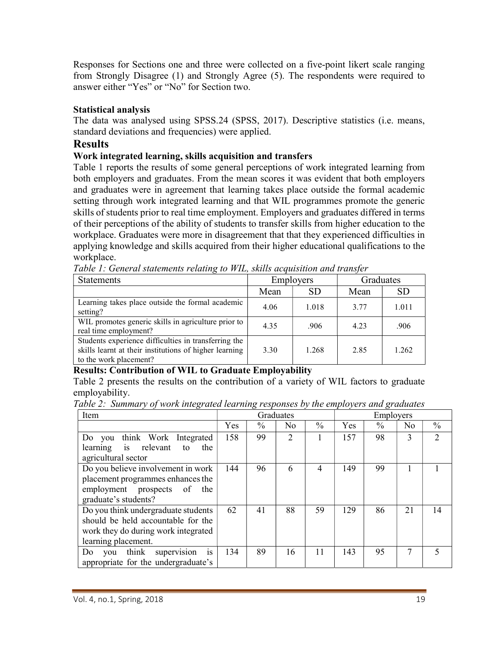Responses for Sections one and three were collected on a five-point likert scale ranging from Strongly Disagree (1) and Strongly Agree (5). The respondents were required to answer either "Yes" or "No" for Section two.

## Statistical analysis

The data was analysed using SPSS.24 (SPSS, 2017). Descriptive statistics (i.e. means, standard deviations and frequencies) were applied.

## Results

## Work integrated learning, skills acquisition and transfers

Table 1 reports the results of some general perceptions of work integrated learning from both employers and graduates. From the mean scores it was evident that both employers and graduates were in agreement that learning takes place outside the formal academic setting through work integrated learning and that WIL programmes promote the generic skills of students prior to real time employment. Employers and graduates differed in terms of their perceptions of the ability of students to transfer skills from higher education to the workplace. Graduates were more in disagreement that that they experienced difficulties in applying knowledge and skills acquired from their higher educational qualifications to the workplace.

| <b>Statements</b>                                                                                                                        |      | Employers | Graduates |       |  |
|------------------------------------------------------------------------------------------------------------------------------------------|------|-----------|-----------|-------|--|
|                                                                                                                                          | Mean | <b>SD</b> | Mean      | SD.   |  |
| Learning takes place outside the formal academic<br>setting?                                                                             | 4.06 | 1.018     | 3.77      | 1.011 |  |
| WIL promotes generic skills in agriculture prior to<br>real time employment?                                                             | 4.35 | .906      | 4.23      | .906  |  |
| Students experience difficulties in transferring the<br>skills learnt at their institutions of higher learning<br>to the work placement? | 3.30 | 1.268     | 2.85      | 1.262 |  |

Table 1: General statements relating to WIL, skills acquisition and transfer

#### Results: Contribution of WIL to Graduate Employability

Table 2 presents the results on the contribution of a variety of WIL factors to graduate employability.

Table 2: Summary of work integrated learning responses by the employers and graduates

| Item                                                                                                                                    | Graduates |               |                | Employers     |     |               |                |                             |
|-----------------------------------------------------------------------------------------------------------------------------------------|-----------|---------------|----------------|---------------|-----|---------------|----------------|-----------------------------|
|                                                                                                                                         | Yes       | $\frac{0}{0}$ | No             | $\frac{0}{0}$ | Yes | $\frac{0}{0}$ | N <sub>0</sub> | $\frac{0}{0}$               |
| think Work Integrated<br>Do you<br>learning is<br>relevant<br>the<br>to<br>agricultural sector                                          | 158       | 99            | $\overline{2}$ |               | 157 | 98            | 3              | $\mathcal{D}_{\mathcal{L}}$ |
| Do you believe involvement in work<br>placement programmes enhances the<br>employment prospects of<br>the<br>graduate's students?       | 144       | 96            | 6              | 4             | 149 | 99            |                |                             |
| Do you think undergraduate students<br>should be held accountable for the<br>work they do during work integrated<br>learning placement. | 62        | 41            | 88             | 59            | 129 | 86            | 21             | 14                          |
| think supervision<br>is<br>Do<br>you<br>appropriate for the undergraduate's                                                             | 134       | 89            | 16             | 11            | 143 | 95            | 7              |                             |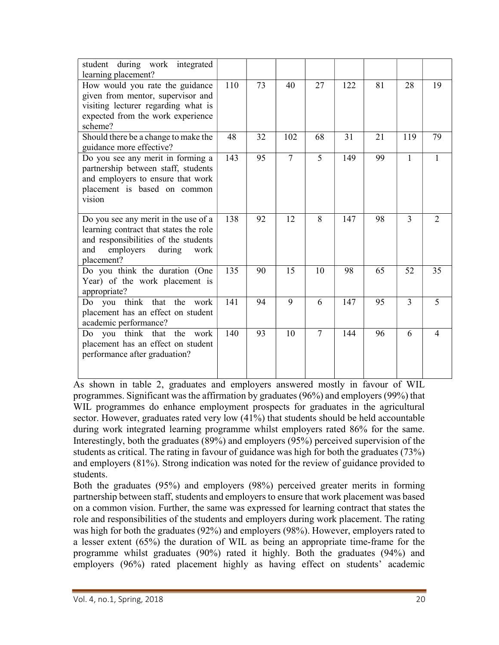| during work integrated<br>student<br>learning placement?                                                                                                                |     |    |                |                |     |    |     |              |
|-------------------------------------------------------------------------------------------------------------------------------------------------------------------------|-----|----|----------------|----------------|-----|----|-----|--------------|
| How would you rate the guidance<br>given from mentor, supervisor and<br>visiting lecturer regarding what is<br>expected from the work experience<br>scheme?             | 110 | 73 | 40             | 27             | 122 | 81 | 28  | 19           |
| Should there be a change to make the<br>guidance more effective?                                                                                                        | 48  | 32 | 102            | 68             | 31  | 21 | 119 | 79           |
| Do you see any merit in forming a<br>partnership between staff, students<br>and employers to ensure that work<br>placement is based on common<br>vision                 | 143 | 95 | $\overline{7}$ | $\overline{5}$ | 149 | 99 | 1   | $\mathbf{1}$ |
| Do you see any merit in the use of a<br>learning contract that states the role<br>and responsibilities of the students<br>employers<br>during work<br>and<br>placement? | 138 | 92 | 12             | 8              | 147 | 98 | 3   | 2            |
| Do you think the duration (One<br>Year) of the work placement is<br>appropriate?                                                                                        | 135 | 90 | 15             | 10             | 98  | 65 | 52  | 35           |
| Do you think that the work<br>placement has an effect on student<br>academic performance?                                                                               | 141 | 94 | 9              | 6              | 147 | 95 | 3   | 5            |
| Do you think that the work<br>placement has an effect on student<br>performance after graduation?                                                                       | 140 | 93 | 10             | 7              | 144 | 96 | 6   | 4            |

As shown in table 2, graduates and employers answered mostly in favour of WIL programmes. Significant was the affirmation by graduates (96%) and employers (99%) that WIL programmes do enhance employment prospects for graduates in the agricultural sector. However, graduates rated very low (41%) that students should be held accountable during work integrated learning programme whilst employers rated 86% for the same. Interestingly, both the graduates (89%) and employers (95%) perceived supervision of the students as critical. The rating in favour of guidance was high for both the graduates (73%) and employers (81%). Strong indication was noted for the review of guidance provided to students.

Both the graduates (95%) and employers (98%) perceived greater merits in forming partnership between staff, students and employers to ensure that work placement was based on a common vision. Further, the same was expressed for learning contract that states the role and responsibilities of the students and employers during work placement. The rating was high for both the graduates (92%) and employers (98%). However, employers rated to a lesser extent (65%) the duration of WIL as being an appropriate time-frame for the programme whilst graduates (90%) rated it highly. Both the graduates (94%) and employers (96%) rated placement highly as having effect on students' academic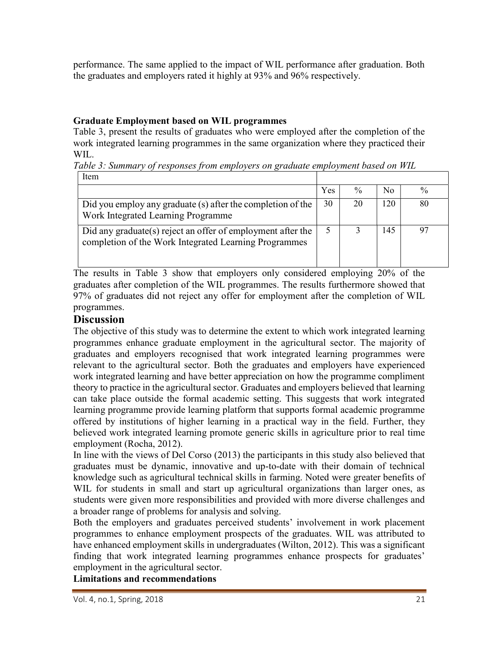performance. The same applied to the impact of WIL performance after graduation. Both the graduates and employers rated it highly at 93% and 96% respectively.

## Graduate Employment based on WIL programmes

Table 3, present the results of graduates who were employed after the completion of the work integrated learning programmes in the same organization where they practiced their WIL.

Table 3: Summary of responses from employers on graduate employment based on WIL

| Item                                                                                                                 |     |               |     |               |
|----------------------------------------------------------------------------------------------------------------------|-----|---------------|-----|---------------|
|                                                                                                                      | Yes | $\frac{0}{0}$ | No. | $\frac{0}{0}$ |
| Did you employ any graduate (s) after the completion of the<br>Work Integrated Learning Programme                    | 30  | 20            | 120 | 80            |
| Did any graduate(s) reject an offer of employment after the<br>completion of the Work Integrated Learning Programmes |     |               | 145 |               |

The results in Table 3 show that employers only considered employing 20% of the graduates after completion of the WIL programmes. The results furthermore showed that 97% of graduates did not reject any offer for employment after the completion of WIL programmes.

# **Discussion**

The objective of this study was to determine the extent to which work integrated learning programmes enhance graduate employment in the agricultural sector. The majority of graduates and employers recognised that work integrated learning programmes were relevant to the agricultural sector. Both the graduates and employers have experienced work integrated learning and have better appreciation on how the programme compliment theory to practice in the agricultural sector. Graduates and employers believed that learning can take place outside the formal academic setting. This suggests that work integrated learning programme provide learning platform that supports formal academic programme offered by institutions of higher learning in a practical way in the field. Further, they believed work integrated learning promote generic skills in agriculture prior to real time employment (Rocha, 2012).

In line with the views of Del Corso (2013) the participants in this study also believed that graduates must be dynamic, innovative and up-to-date with their domain of technical knowledge such as agricultural technical skills in farming. Noted were greater benefits of WIL for students in small and start up agricultural organizations than larger ones, as students were given more responsibilities and provided with more diverse challenges and a broader range of problems for analysis and solving.

Both the employers and graduates perceived students' involvement in work placement programmes to enhance employment prospects of the graduates. WIL was attributed to have enhanced employment skills in undergraduates (Wilton, 2012). This was a significant finding that work integrated learning programmes enhance prospects for graduates' employment in the agricultural sector.

Limitations and recommendations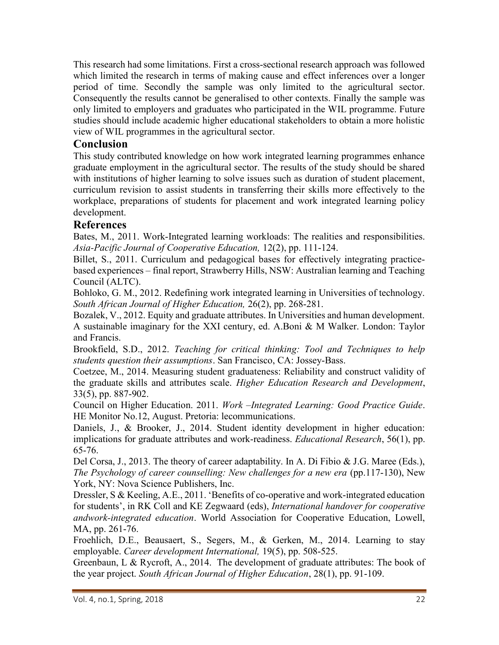This research had some limitations. First a cross-sectional research approach was followed which limited the research in terms of making cause and effect inferences over a longer period of time. Secondly the sample was only limited to the agricultural sector. Consequently the results cannot be generalised to other contexts. Finally the sample was only limited to employers and graduates who participated in the WIL programme. Future studies should include academic higher educational stakeholders to obtain a more holistic view of WIL programmes in the agricultural sector.

## Conclusion

This study contributed knowledge on how work integrated learning programmes enhance graduate employment in the agricultural sector. The results of the study should be shared with institutions of higher learning to solve issues such as duration of student placement, curriculum revision to assist students in transferring their skills more effectively to the workplace, preparations of students for placement and work integrated learning policy development.

## References

Bates, M., 2011. Work-Integrated learning workloads: The realities and responsibilities. Asia-Pacific Journal of Cooperative Education, 12(2), pp. 111-124.

Billet, S., 2011. Curriculum and pedagogical bases for effectively integrating practicebased experiences – final report, Strawberry Hills, NSW: Australian learning and Teaching Council (ALTC).

Bohloko, G. M., 2012. Redefining work integrated learning in Universities of technology. South African Journal of Higher Education, 26(2), pp. 268-281.

Bozalek, V., 2012. Equity and graduate attributes. In Universities and human development. A sustainable imaginary for the XXI century, ed. A.Boni & M Walker. London: Taylor and Francis.

Brookfield, S.D., 2012. Teaching for critical thinking: Tool and Techniques to help students question their assumptions. San Francisco, CA: Jossey-Bass.

Coetzee, M., 2014. Measuring student graduateness: Reliability and construct validity of the graduate skills and attributes scale. Higher Education Research and Development, 33(5), pp. 887-902.

Council on Higher Education. 2011. Work –Integrated Learning: Good Practice Guide. HE Monitor No.12, August. Pretoria: lecommunications.

Daniels, J., & Brooker, J., 2014. Student identity development in higher education: implications for graduate attributes and work-readiness. *Educational Research*, 56(1), pp. 65-76.

Del Corsa, J., 2013. The theory of career adaptability. In A. Di Fibio & J.G. Maree (Eds.), The Psychology of career counselling: New challenges for a new era (pp.117-130), New York, NY: Nova Science Publishers, Inc.

Dressler, S & Keeling, A.E., 2011. 'Benefits of co-operative and work-integrated education for students', in RK Coll and KE Zegwaard (eds), International handover for cooperative andwork-integrated education. World Association for Cooperative Education, Lowell, MA, pp. 261-76.

Froehlich, D.E., Beausaert, S., Segers, M., & Gerken, M., 2014. Learning to stay employable. Career development International, 19(5), pp. 508-525.

Greenbaun, L & Rycroft, A., 2014. The development of graduate attributes: The book of the year project. South African Journal of Higher Education, 28(1), pp. 91-109.